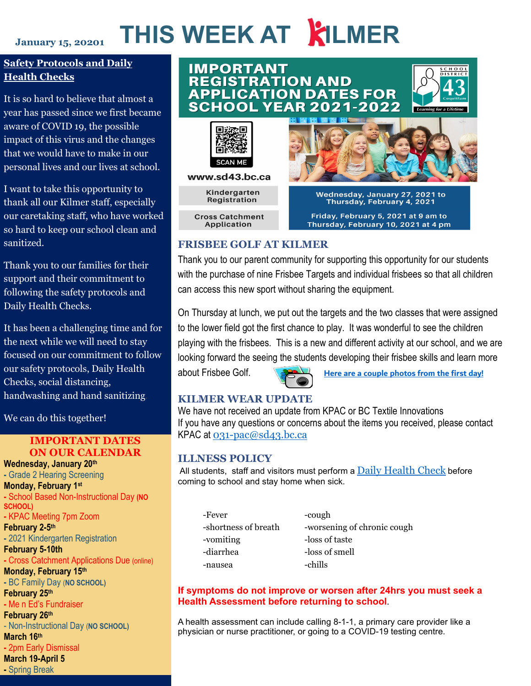### **January 15, 20201**

# **THIS WEEK AT KILMER**

## **Safety Protocols and Daily Health Checks**

It is so hard to believe that almost a year has passed since we first became aware of COVID 19, the possible impact of this virus and the changes that we would have to make in our personal lives and our lives at school.

I want to take this opportunity to thank all our Kilmer staff, especially our caretaking staff, who have worked so hard to keep our school clean and sanitized.

Thank you to our families for their support and their commitment to following the safety protocols and Daily Health Checks.

It has been a challenging time and for the next while we will need to stay focused on our commitment to follow our safety protocols, Daily Health Checks, social distancing, handwashing and hand sanitizing.

We can do this together!

## **IMPORTANT DATES ON OUR CALENDAR**

**-** School Based Non-Instructional Day **(NO**<br>sc**H**OOL) 24 hours<br>Decistration **-** 2021 Kindergarten Registration<br>Eshruary 5,10th **February 3-Tom**<br>**-** Cross Catchment Applications Due (online) **Wednesday, January 20th -** Grade 2 Hearing Screening **Monday, February 1st SCHOOL) -** KPAC Meeting 7pm Zoom **February 2-5th February 5-10th Monday, February 15th -** BC Family Day (**NO SCHOOL) February 25th -** Me n Ed's Fundraiser **February 26th** - Non-Instructional Day (**NO SCHOOL) March 16th -** 2pm Early Dismissal **March 19-April 5**

**-** Spring Break

## **IMPORTANT REGISTRATION AND APPLICATION DATES FOR SCHOOL YEAR 2021-2022**



www.sd43.bc.ca

Kindergarten Registration

**Cross Catchment Application** 



Wednesday, January 27, 2021 to<br>Thursday, February 4, 2021 Friday, February 5, 2021 at 9 am to

Thursday, February 10, 2021 at 4 pm

## **FRISBEE GOLF AT KILMER**

Thank you to our parent community for supporting this opportunity for our students with the purchase of nine Frisbee Targets and individual frisbees so that all children can access this new sport without sharing the equipment.

On Thursday at lunch, we put out the targets and the two classes that were assigned to the lower field got the first chance to play. It was wonderful to see the children playing with the frisbees. This is a new and different activity at our school, and we are looking forward the seeing the students developing their frisbee skills and learn more

about Frisbee Golf. **[Here are a couple photos from the first](https://www.sd43.bc.ca/school/kilmer/About/PhotoGallery/Pages/default.aspx#/=) day!**

## **KILMER WEAR UPDATE**

We have not received an update from KPAC or BC Textile Innovations If you have any questions or concerns about the items you received, please contact KPAC at [031-pac@sd43.bc.ca](mailto:031-pac@sd43.bc.ca)

## **ILLNESS POLICY**

All students, staff and visitors must perform a  $Daily Health Check before$  $Daily Health Check before$  $Daily Health Check before$ coming to school and stay home when sick.

| -Fever               |  |
|----------------------|--|
| -shortness of breath |  |
| -vomiting            |  |
| -diarrhea            |  |
| -nausea              |  |

-cough -worsening of chronic cough -loss of taste -loss of smell -chills

## **If symptoms do not improve or worsen after 24hrs you must seek a Health Assessment before returning to school**.

A health assessment can include calling 8-1-1, a primary care provider like a physician or nurse practitioner, or going to a COVID-19 testing centre.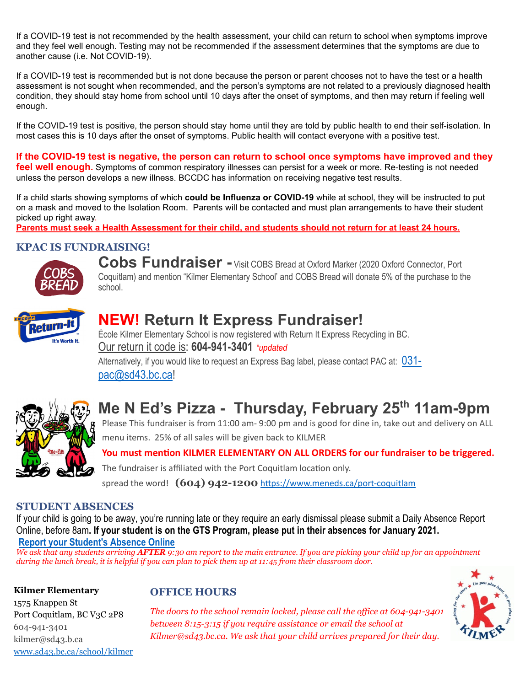If a COVID-19 test is not recommended by the health assessment, your child can return to school when symptoms improve and they feel well enough. Testing may not be recommended if the assessment determines that the symptoms are due to another cause (i.e. Not COVID-19).

If a COVID-19 test is recommended but is not done because the person or parent chooses not to have the test or a health assessment is not sought when recommended, and the person's symptoms are not related to a previously diagnosed health condition, they should stay home from school until 10 days after the onset of symptoms, and then may return if feeling well enough.

If the COVID-19 test is positive, the person should stay home until they are told by public health to end their self-isolation. In most cases this is 10 days after the onset of symptoms. Public health will contact everyone with a positive test.

**If the COVID-19 test is negative, the person can return to school once symptoms have improved and they feel well enough.** Symptoms of common respiratory illnesses can persist for a week or more. Re-testing is not needed unless the person develops a new illness. BCCDC has information on receiving negative test results.

If a child starts showing symptoms of which **could be Influenza or COVID-19** while at school, they will be instructed to put on a mask and moved to the Isolation Room. Parents will be contacted and must plan arrangements to have their student picked up right away.

**Parents must seek a Health Assessment for their child, and students should not return for at least 24 hours.** 

## **KPAC IS FUNDRAISING!**



**Cobs Fundraiser -** Visit COBS Bread at Oxford Marker (2020 Oxford Connector, Port Coquitlam) and mention "Kilmer Elementary School' and COBS Bread will donate 5% of the purchase to the school.



## **NEW! Return It Express Fundraiser!**

École Kilmer Elementary School is now registered with Return It Express Recycling in BC. Our return it code is: **604-941-3401** *\*updated*

Alternatively, if you would like to request an Express Bag label, please contact PAC at: [031](mailto:031-pac@sd43.bc.ca) [pac@sd43.bc.ca!](mailto:031-pac@sd43.bc.ca)



# **Me N Ed's Pizza - Thursday, February 25th 11am-9pm**

Please This fundraiser is from 11:00 am- 9:00 pm and is good for dine in, take out and delivery on ALL menu items. 25% of all sales will be given back to KILMER

You must mention KILMER ELEMENTARY ON ALL ORDERS for our fundraiser to be triggered.

The fundraiser is affiliated with the Port Coquitlam location only.

spread the word!  $(604)$  942-1200 https://www.meneds.ca/port-coquitlam

## **STUDENT ABSENCES**

If your child is going to be away, you're running late or they require an early dismissal please submit a Daily Absence Report Online, before 8am**. If your student is on the GTS Program, please put in their absences for January 2021. [Report your Student's Absence Online](https://www2016.sd43.bc.ca/eforms/_layouts/15/FormServer.aspx?XsnLocation=http://www2016.sd43.bc.ca/eforms/AbsenceReportForm/Forms/template.xsn&OpenIn=browser&SaveLocation=http://www2016.sd43.bc.ca/eforms/AbsenceReportForm&Source=http://www2016.sd43.bc.ca/eforms/AbsenceReportForm)**

*We ask that any students arriving AFTER 9:30 am report to the main entrance. If you are picking your child up for an appointment during the lunch break, it is helpful if you can plan to pick them up at 11:45 from their classroom door.*

**Kilmer Elementary** 1575 Knappen St

604-941-3401 kilmer@sd43.b.ca

Port Coquitlam, BC V3C 2P8

[www.sd43.bc.ca/school/kilmer](http://www.sd43.bc.ca/school/kilmer)

## **OFFICE HOURS**



*The doors to the school remain locked, please call the office at 604-941-3401 between 8:15-3:15 if you require assistance or email the school at Kilmer@sd43.bc.ca. We ask that your child arrives prepared for their day.*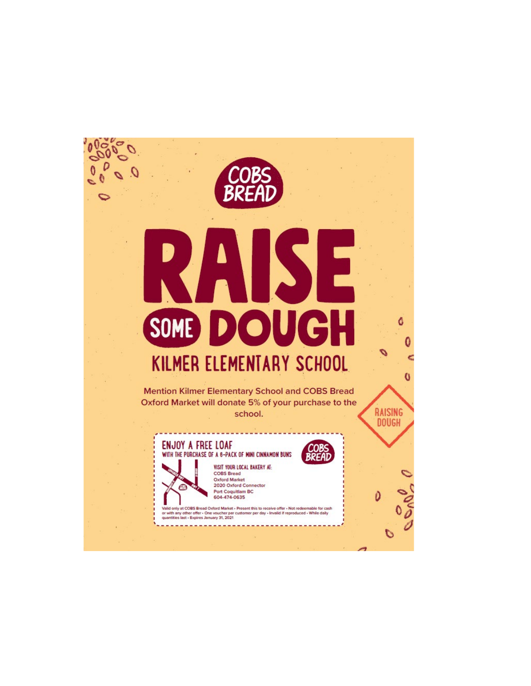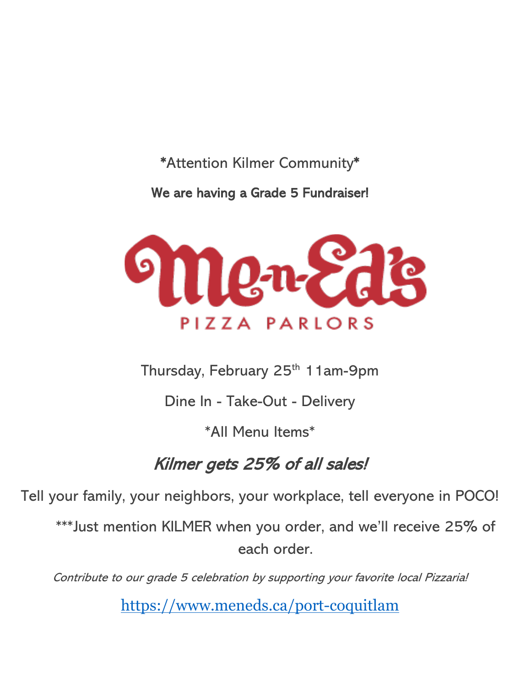## \*Attention Kilmer Community\*

We are having a Grade 5 Fundraiser!



Thursday, February 25<sup>th</sup> 11am-9pm

Dine In - Take-Out - Delivery

\*All Menu Items\*

# Kilmer gets 25% of all sales!

Tell your family, your neighbors, your workplace, tell everyone in POCO!

\*\*\*Just mention KILMER when you order, and we'll receive 25% of each order.

Contribute to our grade 5 celebration by supporting your favorite local Pizzaria!

<https://www.meneds.ca/port-coquitlam>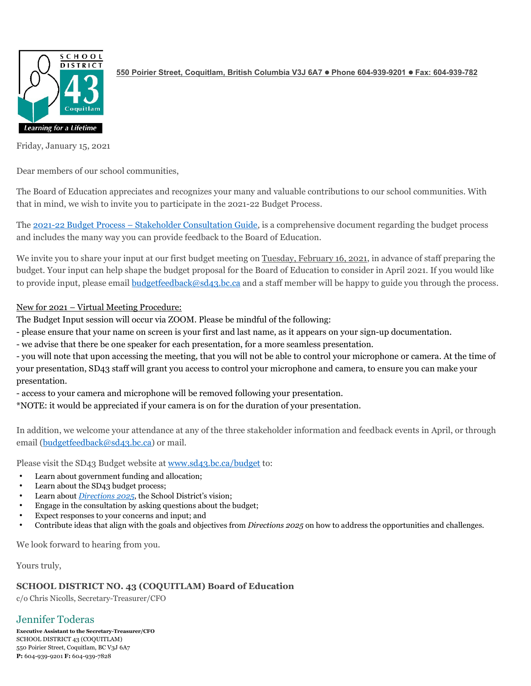

**550 Poirier Street, Coquitlam, British Columbia V3J 6A7 Phone 604-939-9201 Fax: 604-939-782**

Friday, January 15, 2021

Dear members of our school communities,

The Board of Education appreciates and recognizes your many and valuable contributions to our school communities. With that in mind, we wish to invite you to participate in the 2021-22 Budget Process.

The 2021-22 Budget Process – [Stakeholder Consultation Guide,](http://www.sd43.bc.ca/budget/Documents/Consultation%20Guide%202021-2022%20Final.pdf) is a comprehensive document regarding the budget process and includes the many way you can provide feedback to the Board of Education.

We invite you to share your input at our first budget meeting on Tuesday, February 16, 2021, in advance of staff preparing the budget. Your input can help shape the budget proposal for the Board of Education to consider in April 2021. If you would like to provide input, please email [budgetfeedback@sd43.bc.ca](mailto:budgetfeedback@sd43.bc.ca) and a staff member will be happy to guide you through the process.

### New for 2021 – Virtual Meeting Procedure:

The Budget Input session will occur via ZOOM. Please be mindful of the following:

- please ensure that your name on screen is your first and last name, as it appears on your sign-up documentation.
- we advise that there be one speaker for each presentation, for a more seamless presentation.

- you will note that upon accessing the meeting, that you will not be able to control your microphone or camera. At the time of your presentation, SD43 staff will grant you access to control your microphone and camera, to ensure you can make your presentation.

- access to your camera and microphone will be removed following your presentation.

\*NOTE: it would be appreciated if your camera is on for the duration of your presentation.

In addition, we welcome your attendance at any of the three stakeholder information and feedback events in April, or through email [\(budgetfeedback@sd43.bc.ca\)](mailto:budgetfeedback@sd43.bc.ca) or mail.

Please visit the SD43 Budget website at [www.sd43.bc.ca/budget](http://www.sd43.bc.ca/budget) to:

- Learn about government funding and allocation;
- Learn about the SD43 budget process;
- Learn about *[Directions 2025](http://www.sd43.bc.ca/Board/Vision/Documents/Directions2025.pdf)*, the School District's vision;
- Engage in the consultation by asking questions about the budget;
- Expect responses to your concerns and input; and
- Contribute ideas that align with the goals and objectives from *Directions 2025* on how to address the opportunities and challenges.

We look forward to hearing from you.

Yours truly,

#### **SCHOOL DISTRICT NO. 43 (COQUITLAM) Board of Education**

c/o Chris Nicolls, Secretary-Treasurer/CFO

## Jennifer Toderas

**Executive Assistant to the Secretary-Treasurer/CFO** SCHOOL DISTRICT 43 (COQUITLAM) 550 Poirier Street, Coquitlam, BC V3J 6A7 **P:** 604-939-9201 **F:** 604-939-7828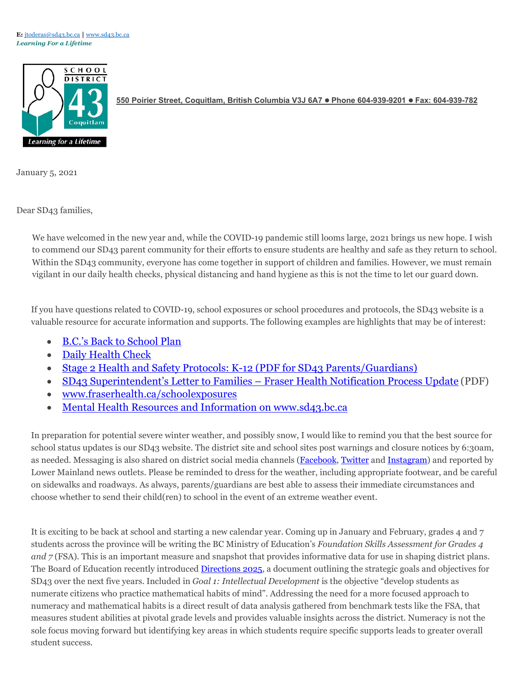E: [jtoderas@sd43.bc.ca](mailto:jtoderas@sd43.bc.ca) [www.sd43.bc.ca](http://www.sd43.bc.ca/) *Learning For a Lifetime*



**550 Poirier Street, Coquitlam, British Columbia V3J 6A7 Phone 604-939-9201 Fax: 604-939-782**

January 5, 2021

Dear SD43 families,

We have welcomed in the new year and, while the COVID-19 pandemic still looms large, 2021 brings us new hope. I wish to commend our SD43 parent community for their efforts to ensure students are healthy and safe as they return to school. Within the SD43 community, everyone has come together in support of children and families. However, we must remain vigilant in our daily health checks, physical distancing and hand hygiene as this is not the time to let our guard down.

If you have questions related to COVID-19, school exposures or school procedures and protocols, the SD43 website is a valuable resource for accurate information and supports. The following examples are highlights that may be of interest:

- [B.C.'s Back to School](https://www2.gov.bc.ca/gov/content/education-training/k-12/covid-19-return-to-school) Plan
- [Daily Health](http://www.sd43.bc.ca/Lists/Documents/2020.09.18%20Daily%20Health%20Check%20Screen%20%28English%29.pdf) Check
- [Stage 2 Health and Safety Protocols: K-12 \(PDF for SD43](http://www.sd43.bc.ca/FAQ/Documents/Health%20%20Safety%20Protocols%20for%20Schools%20Stage%202%20September%2023%202020%3B%20for%20Parents.pdf) Parents/Guardians)
- [SD43 Superintendent's Letter to Families –](http://www.sd43.bc.ca/Lists/Documents/Superintendent%27s%20Letter%20to%20Families%2012-10-2020%20-%20Fraser%20Health%20Notification%20Update.pdf) Fraser Health Notification Process Update (PDF)
- [www.fraserhealth.ca/schoolexposures](http://www.fraserhealth.ca/schoolexposures)
- [Mental Health Resources and Information on](https://www.sd43.bc.ca/Pages/mentalhealth.aspx%23/%3D) www.sd43.bc.ca

In preparation for potential severe winter weather, and possibly snow, I would like to remind you that the best source for school status updates is our SD43 website. The district site and school sites post warnings and closure notices by 6:30am, as needed. Messaging is also shared on district social media channels [\(Facebook,](https://www.facebook.com/sd43bc/) [Twitter](https://twitter.com/sd43bc) and [Instagram\)](https://www.instagram.com/schooldistrict43/) and reported by Lower Mainland news outlets. Please be reminded to dress for the weather, including appropriate footwear, and be careful on sidewalks and roadways. As always, parents/guardians are best able to assess their immediate circumstances and choose whether to send their child(ren) to school in the event of an extreme weather event.

It is exciting to be back at school and starting a new calendar year. Coming up in January and February, grades 4 and 7 students across the province will be writing the BC Ministry of Education's *Foundation Skills Assessment for Grades 4 and 7* (FSA). This is an important measure and snapshot that provides informative data for use in shaping district plans. The Board of Education recently introduced [Directions 2025,](http://www.sd43.bc.ca/Board/Vision/Documents/Directions2025.pdf) a document outlining the strategic goals and objectives for SD43 over the next five years. Included in *Goal 1: Intellectual Development* is the objective "develop students as numerate citizens who practice mathematical habits of mind". Addressing the need for a more focused approach to numeracy and mathematical habits is a direct result of data analysis gathered from benchmark tests like the FSA, that measures student abilities at pivotal grade levels and provides valuable insights across the district. Numeracy is not the sole focus moving forward but identifying key areas in which students require specific supports leads to greater overall student success.